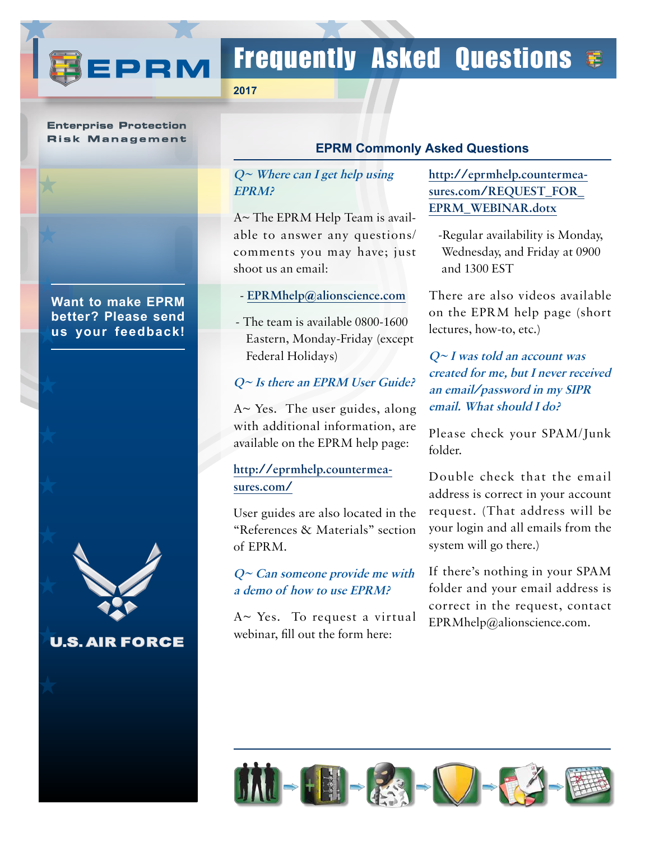

# Frequently Asked Questions  $\epsilon$

**2017**

#### **Enterprise Protection Risk Management**

**[Want to make EPRM](mailto:aunderwood%40alionscience.com?subject=OSCAR%20Feedback%20%28Newsletter%29) [better? Please send](mailto:aunderwood%40alionscience.com?subject=OSCAR%20Feedback%20%28Newsletter%29)  [us your feedback!](mailto:aunderwood%40alionscience.com?subject=OSCAR%20Feedback%20%28Newsletter%29)**



**U.S. AIR FORCE** 

#### **EPRM Commonly Asked Questions**

#### **Q~ Where can I get help using EPRM?**

A~ The EPRM Help Team is available to answer any questions/ comments you may have; just shoot us an email:

- **[EPRMhelp@alionscience.com](mailto:EPRMhelp%40alionscience.com?subject=EPRM%20help)**
- The team is available 0800-1600 Eastern, Monday-Friday (except Federal Holidays)

#### **Q~ Is there an EPRM User Guide?**

A~ Yes. The user guides, along with additional information, are available on the EPRM help page:

## **[http://eprmhelp.countermea](http://eprmhelp.countermeasures.com/ )[sures.com/](http://eprmhelp.countermeasures.com/ )**

User guides are also located in the "References & Materials" section of EPRM.

#### **Q~ Can someone provide me with a demo of how to use EPRM?**

A~ Yes. To request a virtual webinar, fill out the form here:

## **[http://eprmhelp.countermea](http://eprmhelp.countermeasures.com/REQUEST_FOR_EPRM_WEBINAR.dotx
)[sures.com/REQUEST\\_FOR\\_](http://eprmhelp.countermeasures.com/REQUEST_FOR_EPRM_WEBINAR.dotx
) [EPRM\\_WEBINAR.dotx](http://eprmhelp.countermeasures.com/REQUEST_FOR_EPRM_WEBINAR.dotx
)**

-Regular availability is Monday, Wednesday, and Friday at 0900 and 1300 EST

There are also videos available on the EPRM help page (short lectures, how-to, etc.)

## **Q~ I was told an account was created for me, but I never received an email/password in my SIPR email. What should I do?**

Please check your SPAM/Junk folder.

Double check that the email address is correct in your account request. (That address will be your login and all emails from the system will go there.)

If there's nothing in your SPAM folder and your email address is correct in the request, contact EPRMhelp@alionscience.com.